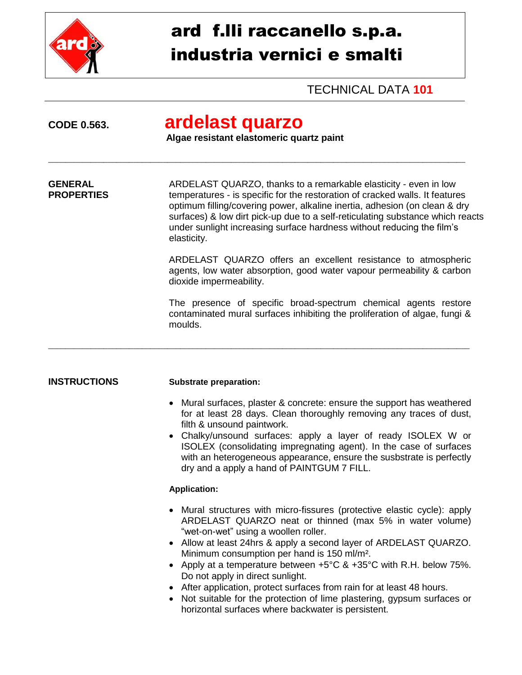

# ard f.lli raccanello s.p.a. industria vernici e smalti

# TECHNICAL DATA **101**

# **CODE 0.563. ardelast quarzo**

### **Algae resistant elastomeric quartz paint**

\_\_\_\_\_\_\_\_\_\_\_\_\_\_\_\_\_\_\_\_\_\_\_\_\_\_\_\_\_\_\_\_\_\_\_\_\_\_\_\_\_\_\_\_\_\_\_\_\_\_\_\_\_\_\_\_\_\_\_\_\_\_\_\_\_\_\_\_\_\_\_\_\_\_\_\_\_\_\_\_\_\_\_\_\_\_\_\_\_\_\_\_\_\_\_\_\_\_

**GENERAL ARDELAST QUARZO, thanks to a remarkable elasticity - even in low**<br>**PROPERTIES EXECUTE:** temperatures - is specific for the restoration of cracked walls. It feature temperatures - is specific for the restoration of cracked walls. It features optimum filling/covering power, alkaline inertia, adhesion (on clean & dry surfaces) & low dirt pick-up due to a self-reticulating substance which reacts under sunlight increasing surface hardness without reducing the film's elasticity.

\_\_\_\_\_\_\_\_\_\_\_\_\_\_\_\_\_\_\_\_\_\_\_\_\_\_\_\_\_\_\_\_\_\_\_\_\_\_\_\_\_\_\_\_\_\_\_\_\_\_\_\_\_\_\_\_\_\_\_\_\_\_\_\_\_\_\_\_\_\_\_\_\_\_\_\_\_\_\_\_\_\_\_\_\_\_\_\_\_\_\_\_\_\_\_\_\_\_\_

ARDELAST QUARZO offers an excellent resistance to atmospheric agents, low water absorption, good water vapour permeability & carbon dioxide impermeability.

The presence of specific broad-spectrum chemical agents restore contaminated mural surfaces inhibiting the proliferation of algae, fungi & moulds.

#### **INSTRUCTIONS Substrate preparation:**

- Mural surfaces, plaster & concrete: ensure the support has weathered for at least 28 days. Clean thoroughly removing any traces of dust, filth & unsound paintwork.
- Chalky/unsound surfaces: apply a layer of ready ISOLEX W or ISOLEX (consolidating impregnating agent). In the case of surfaces with an heterogeneous appearance, ensure the susbstrate is perfectly dry and a apply a hand of PAINTGUM 7 FILL.

### **Application:**

- Mural structures with micro-fissures (protective elastic cycle): apply ARDELAST QUARZO neat or thinned (max 5% in water volume) "wet-on-wet" using a woollen roller.
- Allow at least 24hrs & apply a second layer of ARDELAST QUARZO. Minimum consumption per hand is 150 ml/m².
- Apply at a temperature between +5°C & +35°C with R.H. below 75%. Do not apply in direct sunlight.
- After application, protect surfaces from rain for at least 48 hours.
- Not suitable for the protection of lime plastering, gypsum surfaces or horizontal surfaces where backwater is persistent.